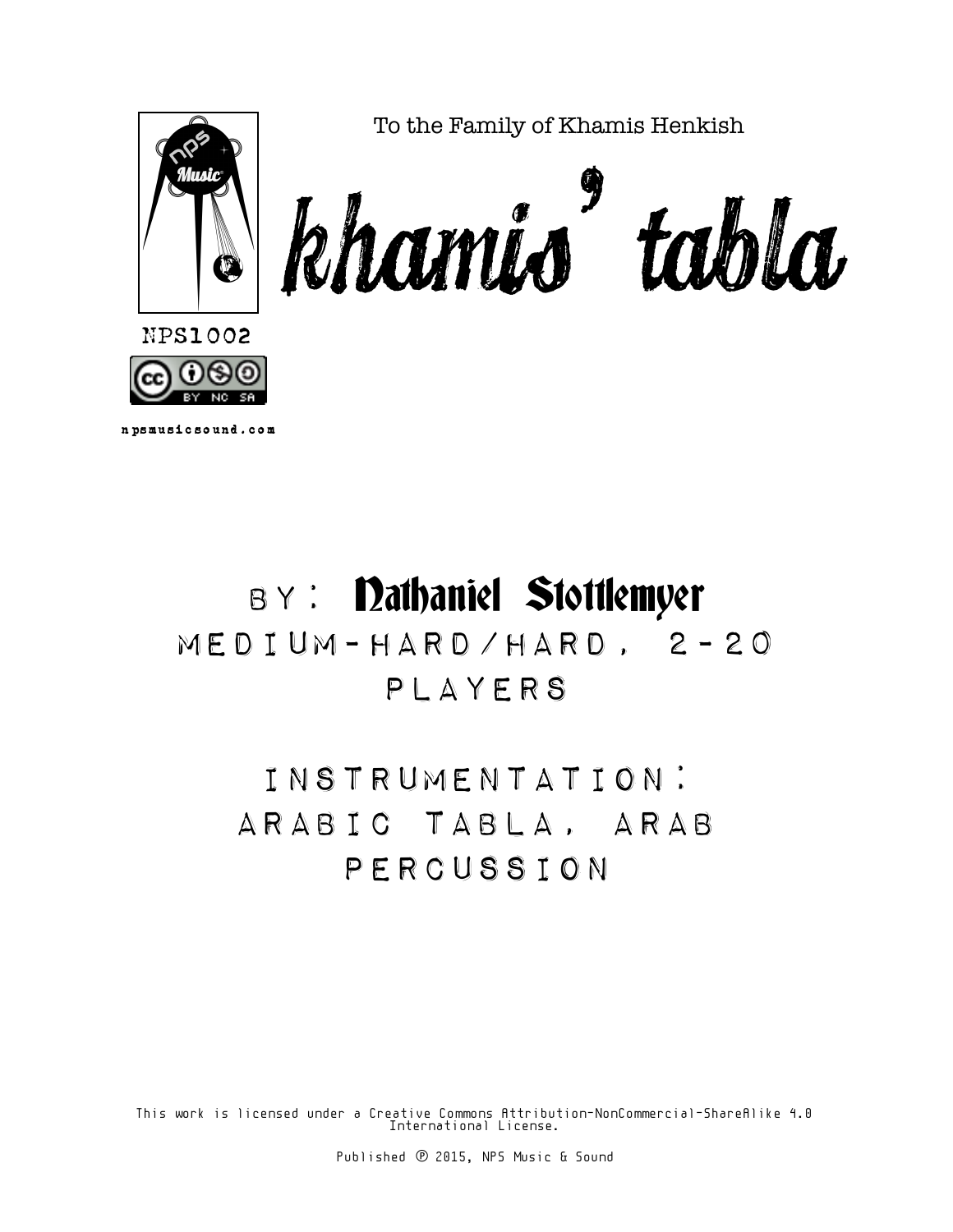

## BY: Dathaniel Stottlemyer Medium-Hard/Hard, 2-20 Players

Instrumentation: Arabic Tabla, Arab Percussion

This work is licensed under a Creative Commons Attribution-NonCommercial-ShareAlike 4.0 International License.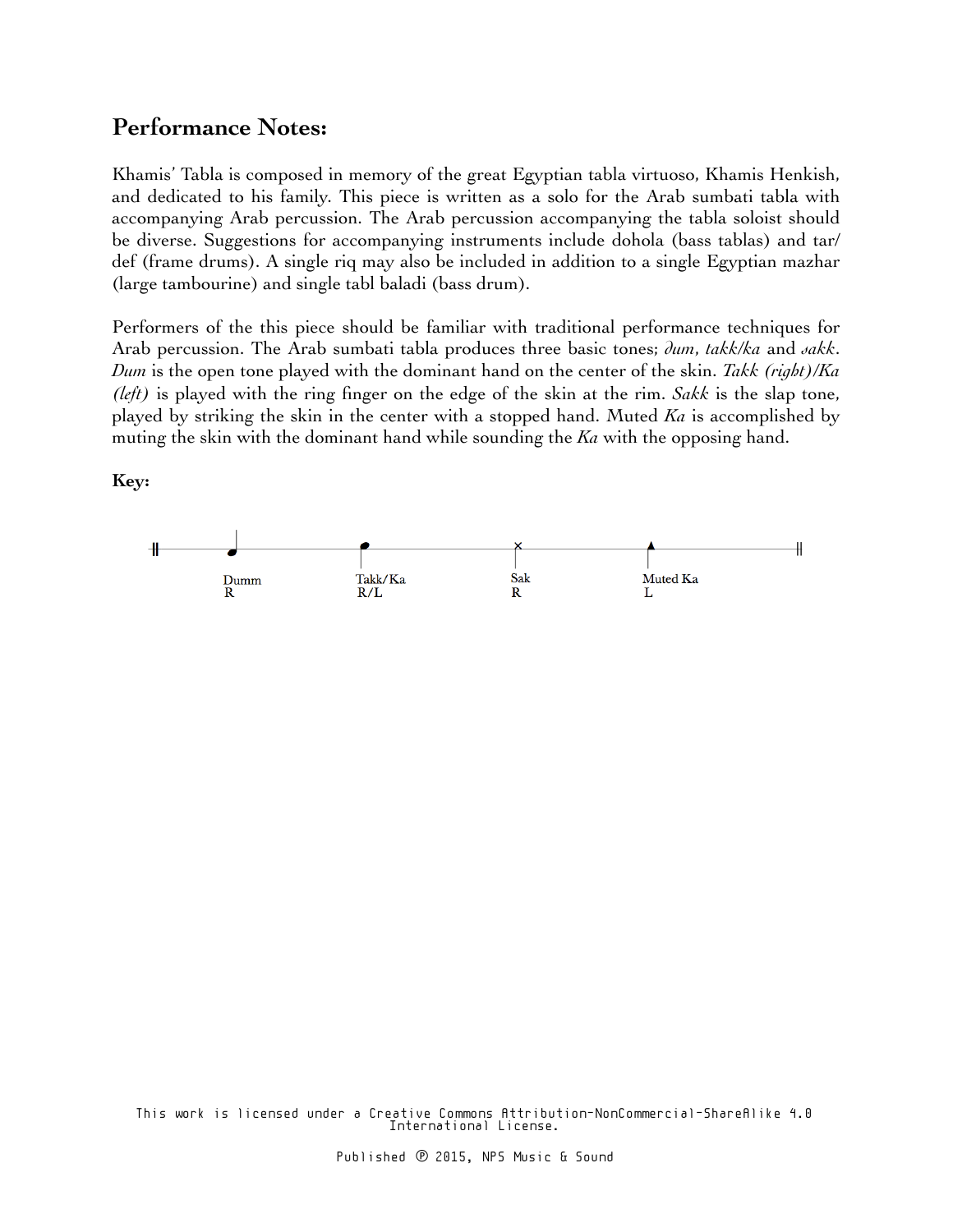## **Performance Notes:**

Khamis' Tabla is composed in memory of the great Egyptian tabla virtuoso, Khamis Henkish, and dedicated to his family. This piece is written as a solo for the Arab sumbati tabla with accompanying Arab percussion. The Arab percussion accompanying the tabla soloist should be diverse. Suggestions for accompanying instruments include dohola (bass tablas) and tar/ def (frame drums). A single riq may also be included in addition to a single Egyptian mazhar (large tambourine) and single tabl baladi (bass drum).

Performers of the this piece should be familiar with traditional performance techniques for Arab percussion. The Arab sumbati tabla produces three basic tones; *dum*, *takk/ka* and *sakk*. *Dum* is the open tone played with the dominant hand on the center of the skin. *Takk (right)/Ka (left)* is played with the ring finger on the edge of the skin at the rim. *Sakk* is the slap tone, played by striking the skin in the center with a stopped hand. Muted *Ka* is accomplished by muting the skin with the dominant hand while sounding the *Ka* with the opposing hand.

**Key:**



This work is licensed under a Creative Commons Attribution-NonCommercial-ShareAlike 4.0 International License.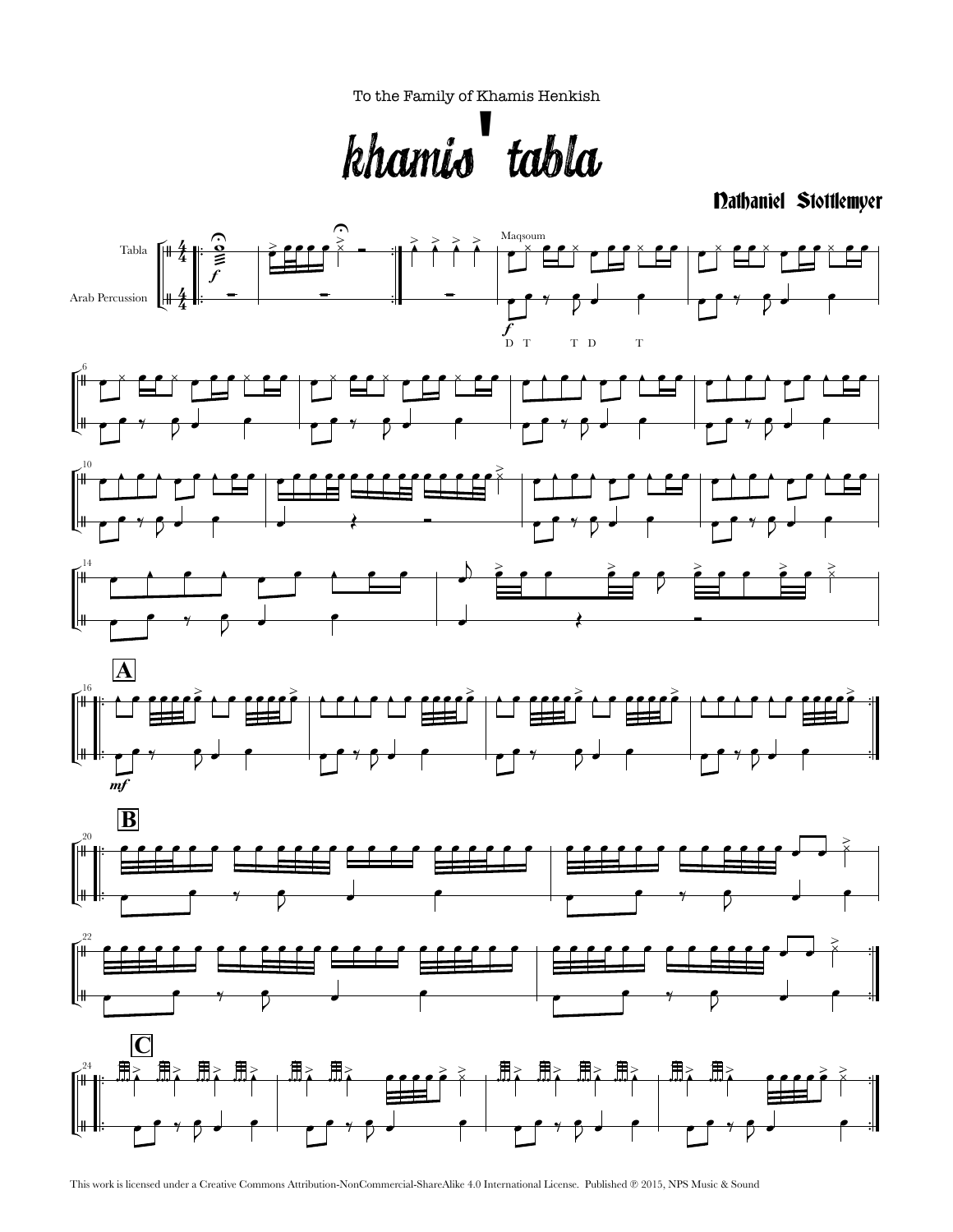To the Family of Khamis Henkish

Khamis' Tabla

Nathaniel Stottlemyer



This work is licensed under a Creative Commons Attribution-NonCommercial-ShareAlike 4.0 International License. Published ℗ 2015, NPS Music & Sound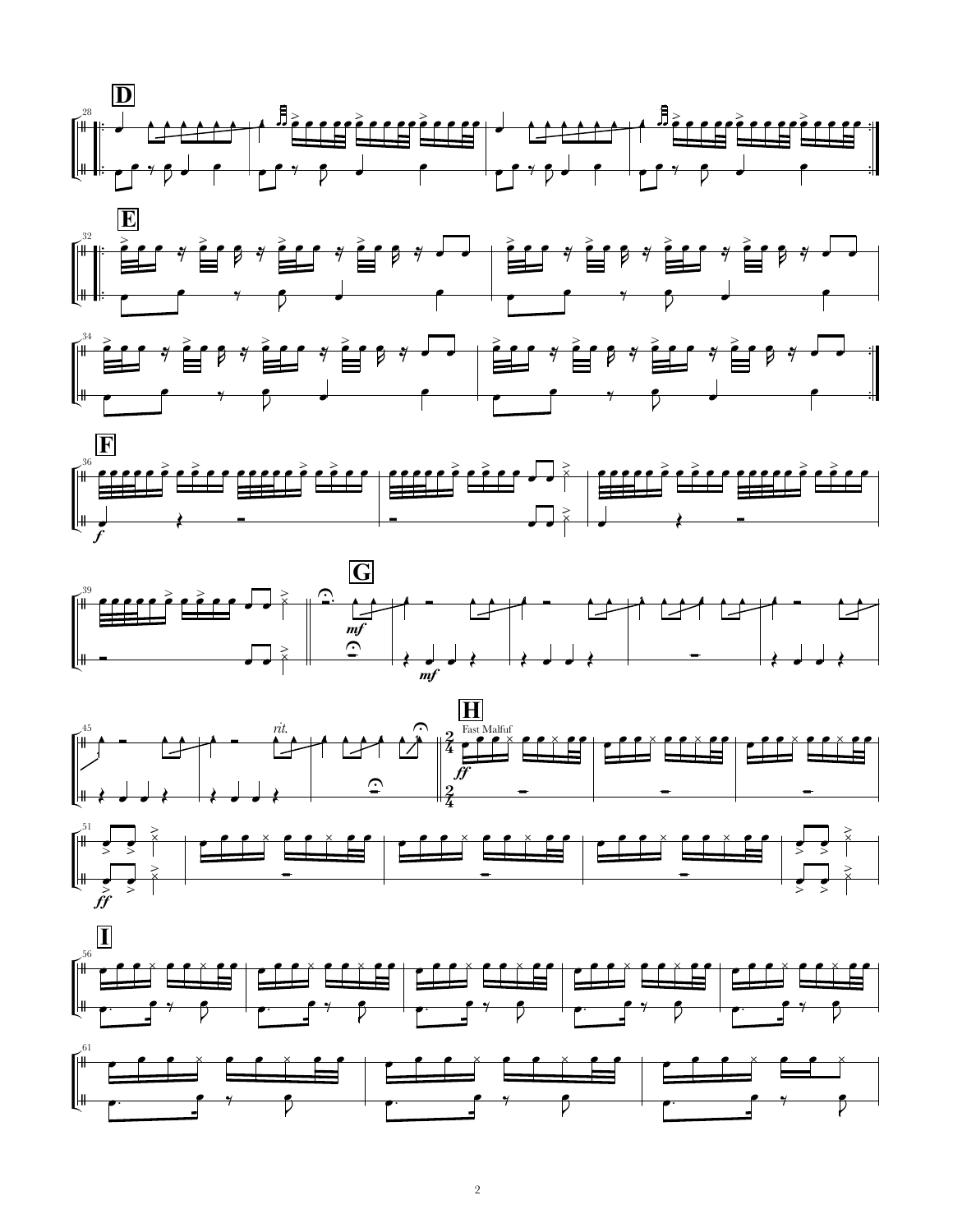